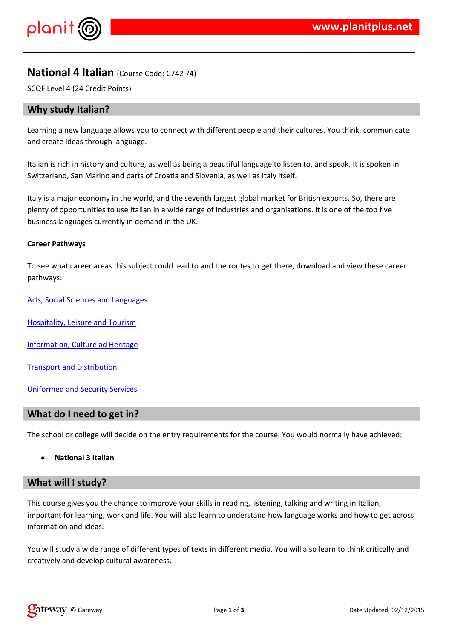$\frac{1}{2}$   $\frac{1}{2}$   $\frac{1}{2}$   $\frac{1}{2}$   $\frac{1}{2}$   $\frac{1}{2}$   $\frac{1}{2}$   $\frac{1}{2}$   $\frac{1}{2}$   $\frac{1}{2}$   $\frac{1}{2}$   $\frac{1}{2}$   $\frac{1}{2}$   $\frac{1}{2}$   $\frac{1}{2}$   $\frac{1}{2}$   $\frac{1}{2}$   $\frac{1}{2}$   $\frac{1}{2}$   $\frac{1}{2}$   $\frac{1}{2}$   $\frac{1}{2}$ 

 $-$  #\$ 9\$8\$' \$% '\$ 9% #&# #\$ 9% + \$ ##9% #\$ 9% + \*9<br>\$ / # % + % 90 \$% \$ #%" %\$ +## - #\$ # ( #\$% + \*%\$ \* %\$%

 $-$  # \$ 1 & %\$% ' # +% ' " % ' + + + + , \* 2 \$ \; ' 3<br>
# % 9 % \$ - \$ + \$ % \$ % % \$ % \$ % \$ % \$ % \$ % (% '  $.$  \$% # %& % # \$%\$%, 4%

5  $\frac{1}{8}$  8  $\frac{1}{8}$  8  $\frac{1}{8}$  8  $\frac{1}{8}$  8  $\frac{1}{8}$  1  $\frac{1}{8}$  8  $\frac{1}{8}$  1  $\frac{1}{8}$  9  $\frac{1}{8}$  1  $\frac{1}{8}$  9  $\frac{1}{8}$  1  $\frac{1}{8}$  1  $\frac{1}{8}$  1  $\frac{1}{8}$  1  $\frac{1}{8}$  1  $\frac{1}{8}$  1  $\frac{1}{8}$  1  $\frac{1}{8}$  1  $\frac$ 

 $6 + 8.85 + 4\%$  &  $1\%$ 

 $7$  \$ #\$ + ! \$ \$ %

 $-$  % \_\_, \$ % + # 7 \$

 $5\%$  % \$ \$. \$ %

%\$, % & \$ "\$&

5' &' #& ## \$## &\$ % ' % 8\$, % ' & ()

\$" &'%& \*\$\$###\$%+#\$%\$%%+\$\$\$%\$#%\$%+  $5'$ \$  $8 - 1$ 2<br>
% # %\$**%\$**+ ()\$#### % % '%# % % ' &  $\$\ ,$  $$% , $$  \$ % % (

 $\frac{1}{2}$   $\frac{1}{3}$   $\frac{1}{4}$   $\frac{1}{4}$   $\frac{1}{4}$   $\frac{1}{4}$   $\frac{1}{4}$   $\frac{1}{4}$   $\frac{1}{4}$   $\frac{1}{4}$   $\frac{1}{4}$   $\frac{1}{4}$   $\frac{1}{4}$   $\frac{1}{4}$   $\frac{1}{4}$   $\frac{1}{3}$   $\frac{1}{6}$   $\frac{1}{6}$   $\frac{1}{6}$   $\frac{1}{6}$   $\frac{1}{6}$   $\frac{1}{6}$   $\texttt{\$''$}$  # % & # # # % (  $8<sub>1</sub>$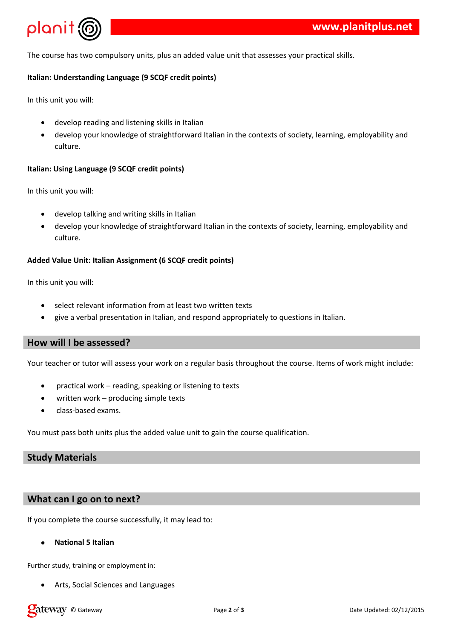

The course has two compulsory units, plus an added value unit that assesses your practical skills.

### **Italian: Understanding Language (9 SCQF credit points)**

In this unit you will:

- develop reading and listening skills in Italian
- develop your knowledge of straightforward Italian in the contexts of society, learning, employability and culture.

#### **Italian: Using Language (9 SCQF credit points)**

In this unit you will:

- develop talking and writing skills in Italian
- develop your knowledge of straightforward Italian in the contexts of society, learning, employability and culture.

#### **Added Value Unit: Italian Assignment (6 SCQF credit points)**

In this unit you will:

- select relevant information from at least two written texts
- give a verbal presentation in Italian, and respond appropriately to questions in Italian.

### **How will I be assessed?**

Your teacher or tutor will assess your work on a regular basis throughout the course. Items of work might include:

- practical work reading, speaking or listening to texts
- written work producing simple texts
- class-based exams.

You must pass both units plus the added value unit to gain the course qualification.

# **Study Materials**

## **What can I go on to next?**

If you complete the course successfully, it may lead to:

### **National 5 Italian**

Further study, training or employment in:

Arts, Social Sciences and Languages